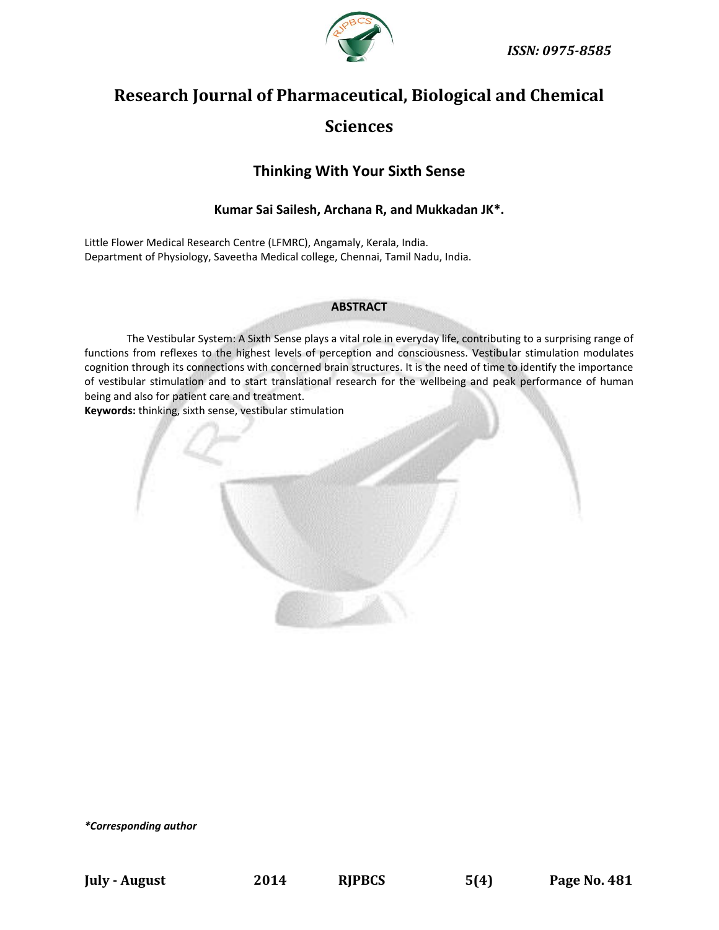

# **Research Journal of Pharmaceutical, Biological and Chemical Sciences**

## **Thinking With Your Sixth Sense**

#### **Kumar Sai Sailesh, Archana R, and Mukkadan JK\*.**

Little Flower Medical Research Centre (LFMRC), Angamaly, Kerala, India. Department of Physiology, Saveetha Medical college, Chennai, Tamil Nadu, India.

#### **ABSTRACT**

The Vestibular System: A Sixth Sense plays a vital role in everyday life, contributing to a surprising range of functions from reflexes to the highest levels of perception and consciousness. Vestibular stimulation modulates cognition through its connections with concerned brain structures. It is the need of time to identify the importance of vestibular stimulation and to start translational research for the wellbeing and peak performance of human being and also for patient care and treatment.

**Keywords:** thinking, sixth sense, vestibular stimulation



*\*Corresponding author*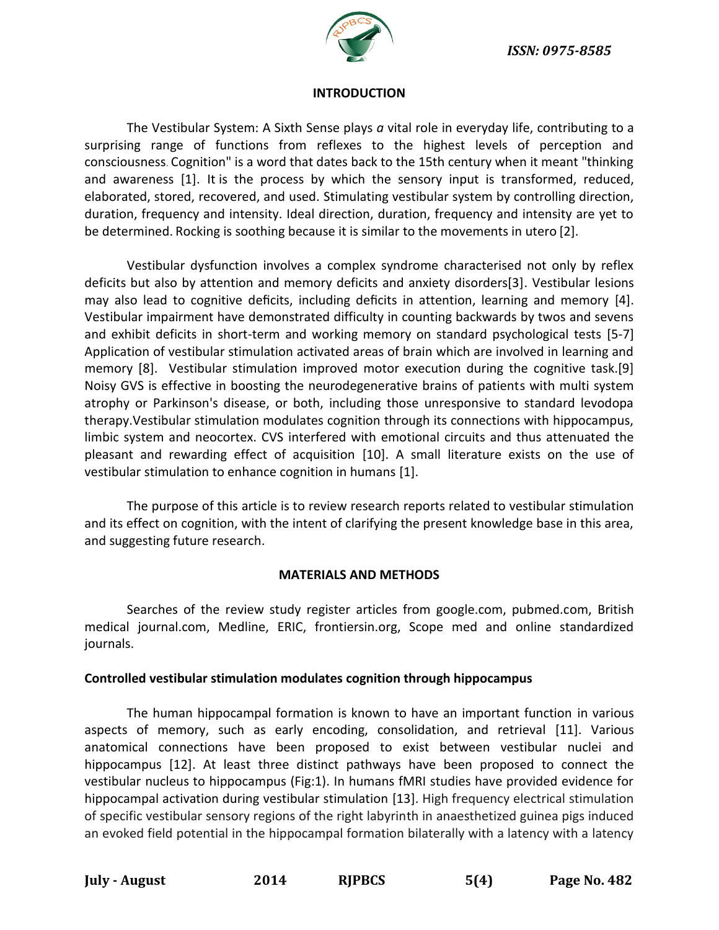

#### **INTRODUCTION**

The Vestibular System: A Sixth Sense plays *a* vital role in everyday life, contributing to a surprising range of functions from reflexes to the highest levels of perception and consciousness. Cognition" is a word that dates back to the 15th century when it meant "thinking and awareness [1]. It is the process by which the sensory input is transformed, reduced, elaborated, stored, recovered, and used. Stimulating vestibular system by controlling direction, duration, frequency and intensity. Ideal direction, duration, frequency and intensity are yet to be determined. Rocking is soothing because it is similar to the movements in utero [2].

Vestibular dysfunction involves a complex syndrome characterised not only by reflex deficits but also by attention and memory deficits and anxiety disorders[3]. Vestibular lesions may also lead to cognitive deficits, including deficits in attention, learning and memory [4]. Vestibular impairment have demonstrated difficulty in counting backwards by twos and sevens and exhibit deficits in short-term and working memory on standard psychological tests [5-7] Application of vestibular stimulation activated areas of brain which are involved in learning and memory [8]. Vestibular stimulation improved motor execution during the cognitive task.[9] Noisy GVS is effective in boosting the neurodegenerative brains of patients with multi system atrophy or Parkinson's disease, or both, including those unresponsive to standard levodopa therapy.Vestibular stimulation modulates cognition through its connections with hippocampus, limbic system and neocortex. CVS interfered with emotional circuits and thus attenuated the pleasant and rewarding effect of acquisition [10]. A small literature exists on the use of vestibular stimulation to enhance cognition in humans [1].

The purpose of this article is to review research reports related to vestibular stimulation and its effect on cognition, with the intent of clarifying the present knowledge base in this area, and suggesting future research.

#### **MATERIALS AND METHODS**

Searches of the review study register articles from google.com, pubmed.com, British medical journal.com, Medline, ERIC, frontiersin.org, Scope med and online standardized journals.

#### **Controlled vestibular stimulation modulates cognition through hippocampus**

The human hippocampal formation is known to have an important function in various aspects of memory, such as early encoding, consolidation, and retrieval [11]. Various anatomical connections have been proposed to exist between vestibular nuclei and hippocampus [12]. At least three distinct pathways have been proposed to connect the vestibular nucleus to hippocampus (Fig:1). In humans fMRI studies have provided evidence for hippocampal activation during vestibular stimulation [13]. High frequency electrical stimulation of specific vestibular sensory regions of the right labyrinth in anaesthetized guinea pigs induced an evoked field potential in the hippocampal formation bilaterally with a latency with a latency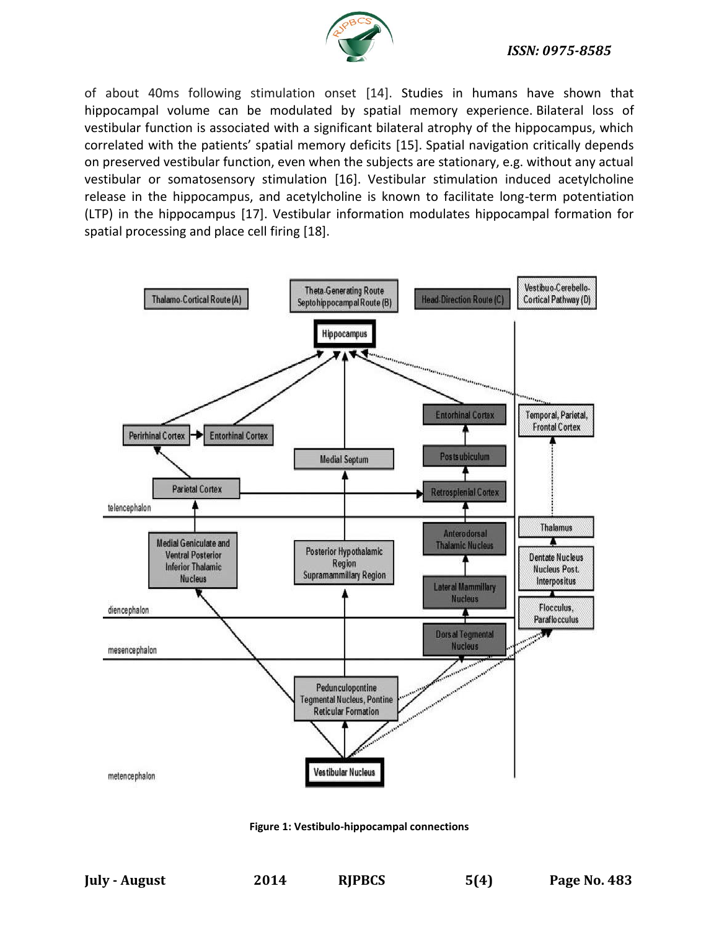

#### *ISSN: 0975-8585*

of about 40ms following stimulation onset [14]. Studies in humans have shown that hippocampal volume can be modulated by spatial memory experience. Bilateral loss of vestibular function is associated with a significant bilateral atrophy of the hippocampus, which correlated with the patients' spatial memory deficits [15]. Spatial navigation critically depends on preserved vestibular function, even when the subjects are stationary, e.g. without any actual vestibular or somatosensory stimulation [16]. Vestibular stimulation induced acetylcholine release in the hippocampus, and acetylcholine is known to facilitate long-term potentiation (LTP) in the hippocampus [17]. Vestibular information modulates hippocampal formation for spatial processing and place cell firing [18].



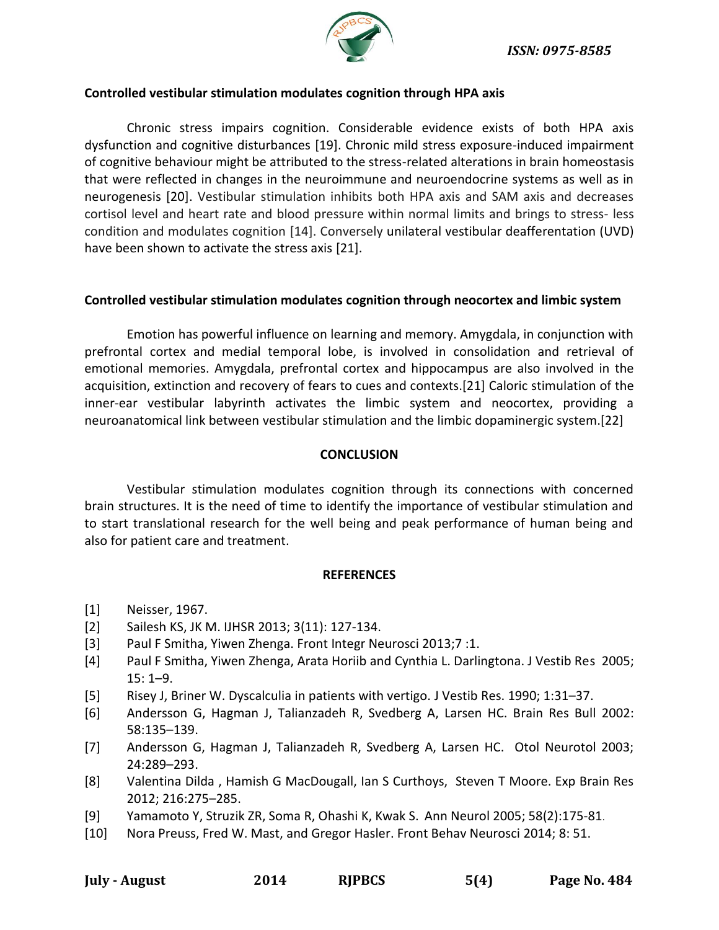

#### **Controlled vestibular stimulation modulates cognition through HPA axis**

Chronic stress impairs cognition. Considerable evidence exists of both HPA axis dysfunction and cognitive disturbances [19]. Chronic mild stress exposure-induced impairment of cognitive behaviour might be attributed to the stress-related alterations in brain homeostasis that were reflected in changes in the neuroimmune and neuroendocrine systems as well as in neurogenesis [20]. Vestibular stimulation inhibits both HPA axis and SAM axis and decreases cortisol level and heart rate and blood pressure within normal limits and brings to stress- less condition and modulates cognition [14]. Conversely unilateral vestibular deafferentation (UVD) have been shown to activate the stress axis [21].

#### **Controlled vestibular stimulation modulates cognition through neocortex and limbic system**

Emotion has powerful influence on learning and memory. Amygdala, in conjunction with prefrontal cortex and medial temporal lobe, is involved in consolidation and retrieval of emotional memories. Amygdala, prefrontal cortex and hippocampus are also involved in the acquisition, extinction and recovery of fears to cues and contexts.[21] Caloric stimulation of the inner-ear vestibular labyrinth activates the limbic system and neocortex, providing a neuroanatomical link between vestibular stimulation and the limbic dopaminergic system.[22]

### **CONCLUSION**

Vestibular stimulation modulates cognition through its connections with concerned brain structures. It is the need of time to identify the importance of vestibular stimulation and to start translational research for the well being and peak performance of human being and also for patient care and treatment.

#### **REFERENCES**

- [1] Neisser, 1967.
- [2] Sailesh KS, JK M. IJHSR 2013; 3(11): 127-134.
- [3] Paul F Smitha, Yiwen Zhenga. Front Integr Neurosci 2013;7 :1.
- [4] Paul F Smitha, Yiwen Zhenga, Arata Horiib and Cynthia L. Darlingtona. J Vestib Res 2005; 15: 1–9.
- [5] Risey J, Briner W. Dyscalculia in patients with vertigo. J Vestib Res. 1990; 1:31–37.
- [6] Andersson G, Hagman J, Talianzadeh R, Svedberg A, Larsen HC. Brain Res Bull 2002: 58:135–139.
- [7] Andersson G, Hagman J, Talianzadeh R, Svedberg A, Larsen HC. Otol Neurotol 2003; 24:289–293.
- [8] Valentina Dilda , Hamish G MacDougall, Ian S Curthoys, Steven T Moore. Exp Brain Res 2012; 216:275–285.
- [9] [Yamamoto Y,](http://www.ncbi.nlm.nih.gov/pubmed?term=Yamamoto%20Y%5BAuthor%5D&cauthor=true&cauthor_uid=16049932) [Struzik ZR,](http://www.ncbi.nlm.nih.gov/pubmed?term=Struzik%20ZR%5BAuthor%5D&cauthor=true&cauthor_uid=16049932) [Soma R,](http://www.ncbi.nlm.nih.gov/pubmed?term=Soma%20R%5BAuthor%5D&cauthor=true&cauthor_uid=16049932) [Ohashi K,](http://www.ncbi.nlm.nih.gov/pubmed?term=Ohashi%20K%5BAuthor%5D&cauthor=true&cauthor_uid=16049932) [Kwak S.](http://www.ncbi.nlm.nih.gov/pubmed?term=Kwak%20S%5BAuthor%5D&cauthor=true&cauthor_uid=16049932) [Ann Neurol](http://www.ncbi.nlm.nih.gov/pubmed/16049932) 2005; 58(2):175-81.
- [10] [Nora Preuss,](http://www.ncbi.nlm.nih.gov/pubmed/?term=Preuss%20N%5Bauth%5D) [Fred W. Mast,](http://www.ncbi.nlm.nih.gov/pubmed/?term=Mast%20FW%5Bauth%5D) and [Gregor Hasler.](http://www.ncbi.nlm.nih.gov/pubmed/?term=Hasler%20G%5Bauth%5D) Front Behav Neurosci 2014; 8: 51.